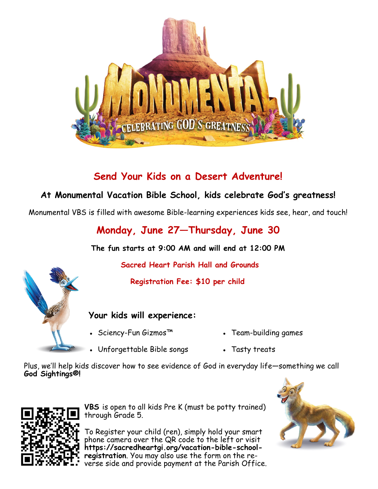

## **Send Your Kids on a Desert Adventure!**

## **At Monumental Vacation Bible School, kids celebrate God's greatness!**

Monumental VBS is filled with awesome Bible-learning experiences kids see, hear, and touch!

**Monday, June 27—Thursday, June 30**

**The fun starts at 9:00 AM and will end at 12:00 PM**

 **Sacred Heart Parish Hall and Grounds**

 **Registration Fee: \$10 per child**

### **Your kids will experience:**

- Sciency-Fun Gizmos™ Team-building games
- 
- Unforgettable Bible songs Tasty treats

Plus, we'll help kids discover how to see evidence of God in everyday life—something we call **God Sightings®!**



**VBS** is open to all kids Pre K (must be potty trained) through Grade 5.

To Register your child (ren), simply hold your smart phone camera over the QR code to the left or visit **https://sacredheartgi.org/vacation-bible-schoolregistration**. You may also use the form on the reverse side and provide payment at the Parish Office.